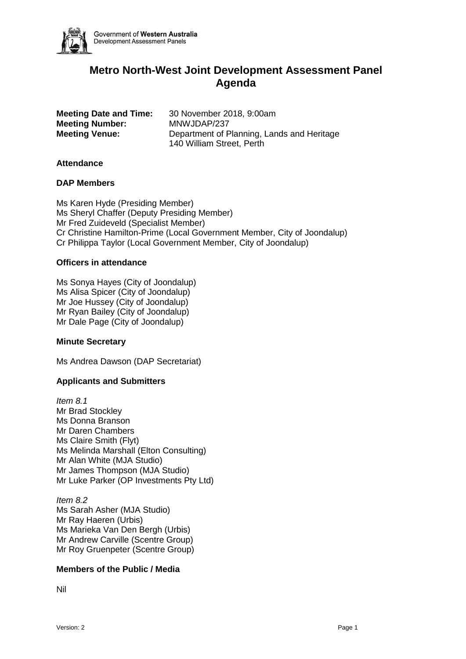

# **Metro North-West Joint Development Assessment Panel Agenda**

**Meeting Number:** MNWJDAP/237

**Meeting Date and Time:** 30 November 2018, 9:00am **Meeting Venue:** Department of Planning, Lands and Heritage 140 William Street, Perth

### **Attendance**

#### **DAP Members**

Ms Karen Hyde (Presiding Member) Ms Sheryl Chaffer (Deputy Presiding Member) Mr Fred Zuideveld (Specialist Member) Cr Christine Hamilton-Prime (Local Government Member, City of Joondalup) Cr Philippa Taylor (Local Government Member, City of Joondalup)

#### **Officers in attendance**

Ms Sonya Hayes (City of Joondalup) Ms Alisa Spicer (City of Joondalup) Mr Joe Hussey (City of Joondalup) Mr Ryan Bailey (City of Joondalup) Mr Dale Page (City of Joondalup)

# **Minute Secretary**

Ms Andrea Dawson (DAP Secretariat)

# **Applicants and Submitters**

*Item 8.1* Mr Brad Stockley Ms Donna Branson Mr Daren Chambers Ms Claire Smith (Flyt) Ms Melinda Marshall (Elton Consulting) Mr Alan White (MJA Studio) Mr James Thompson (MJA Studio) Mr Luke Parker (OP Investments Pty Ltd)

*Item 8.2* Ms Sarah Asher (MJA Studio) Mr Ray Haeren (Urbis) Ms Marieka Van Den Bergh (Urbis) Mr Andrew Carville (Scentre Group) Mr Roy Gruenpeter (Scentre Group)

# **Members of the Public / Media**

Nil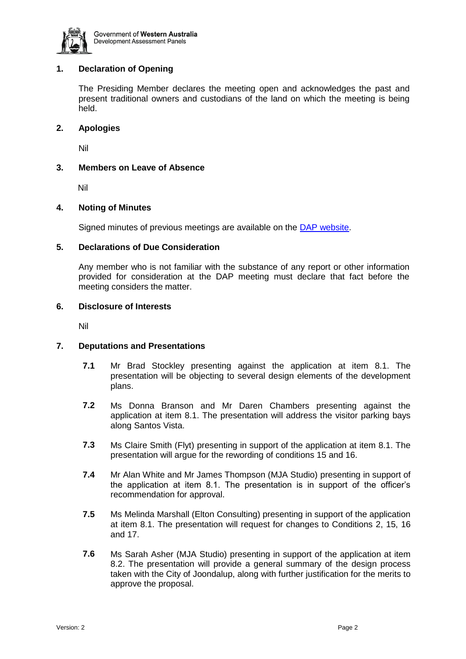

# **1. Declaration of Opening**

The Presiding Member declares the meeting open and acknowledges the past and present traditional owners and custodians of the land on which the meeting is being held.

#### **2. Apologies**

Nil

#### **3. Members on Leave of Absence**

Nil

#### **4. Noting of Minutes**

Signed minutes of previous meetings are available on the [DAP website.](https://www.planning.wa.gov.au/7578.aspx)

#### **5. Declarations of Due Consideration**

Any member who is not familiar with the substance of any report or other information provided for consideration at the DAP meeting must declare that fact before the meeting considers the matter.

### **6. Disclosure of Interests**

Nil

# **7. Deputations and Presentations**

- **7.1** Mr Brad Stockley presenting against the application at item 8.1. The presentation will be objecting to several design elements of the development plans.
- **7.2** Ms Donna Branson and Mr Daren Chambers presenting against the application at item 8.1. The presentation will address the visitor parking bays along Santos Vista.
- **7.3** Ms Claire Smith (Flyt) presenting in support of the application at item 8.1. The presentation will argue for the rewording of conditions 15 and 16.
- **7.4** Mr Alan White and Mr James Thompson (MJA Studio) presenting in support of the application at item 8.1. The presentation is in support of the officer's recommendation for approval.
- **7.5** Ms Melinda Marshall (Elton Consulting) presenting in support of the application at item 8.1. The presentation will request for changes to Conditions 2, 15, 16 and 17.
- **7.6** Ms Sarah Asher (MJA Studio) presenting in support of the application at item 8.2. The presentation will provide a general summary of the design process taken with the City of Joondalup, along with further justification for the merits to approve the proposal.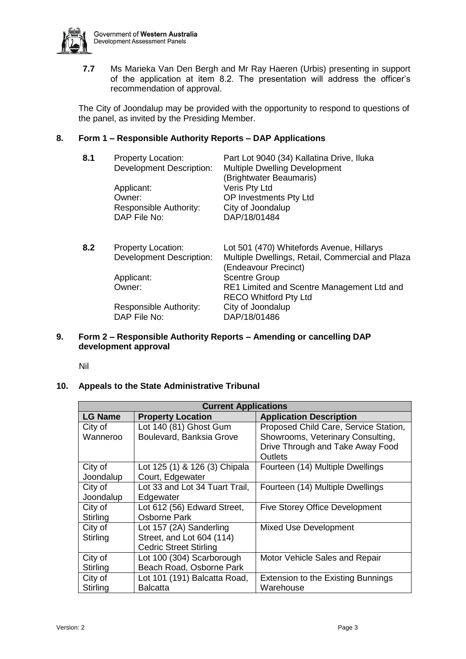

**7.7** Ms Marieka Van Den Bergh and Mr Ray Haeren (Urbis) presenting in support of the application at item 8.2. The presentation will address the officer's recommendation of approval.

The City of Joondalup may be provided with the opportunity to respond to questions of the panel, as invited by the Presiding Member.

# **8. Form 1 – Responsible Authority Reports – DAP Applications**

| 8.1 | <b>Property Location:</b><br><b>Development Description:</b> | Part Lot 9040 (34) Kallatina Drive, Iluka<br><b>Multiple Dwelling Development</b><br>(Brightwater Beaumaris) |
|-----|--------------------------------------------------------------|--------------------------------------------------------------------------------------------------------------|
|     | Applicant:<br>Owner:                                         | Veris Pty Ltd<br>OP Investments Pty Ltd                                                                      |
|     | Responsible Authority:<br>DAP File No:                       | City of Joondalup<br>DAP/18/01484                                                                            |
|     |                                                              |                                                                                                              |

| 8.2 | <b>Property Location:</b>       | Lot 501 (470) Whitefords Avenue, Hillarys        |
|-----|---------------------------------|--------------------------------------------------|
|     | <b>Development Description:</b> | Multiple Dwellings, Retail, Commercial and Plaza |
|     |                                 | (Endeavour Precinct)                             |
|     | Applicant:                      | <b>Scentre Group</b>                             |
|     | Owner:                          | RE1 Limited and Scentre Management Ltd and       |
|     |                                 | <b>RECO Whitford Pty Ltd</b>                     |
|     | Responsible Authority:          | City of Joondalup                                |
|     | DAP File No:                    | DAP/18/01486                                     |
|     |                                 |                                                  |

**9. Form 2 – Responsible Authority Reports – Amending or cancelling DAP development approval**

Nil

#### **10. Appeals to the State Administrative Tribunal**

| <b>Current Applications</b> |                                |                                           |  |  |  |  |
|-----------------------------|--------------------------------|-------------------------------------------|--|--|--|--|
| <b>LG Name</b>              | <b>Property Location</b>       | <b>Application Description</b>            |  |  |  |  |
| City of                     | Lot 140 (81) Ghost Gum         | Proposed Child Care, Service Station,     |  |  |  |  |
| Wanneroo                    | Boulevard, Banksia Grove       | Showrooms, Veterinary Consulting,         |  |  |  |  |
|                             |                                | Drive Through and Take Away Food          |  |  |  |  |
|                             |                                | Outlets                                   |  |  |  |  |
| City of                     | Lot 125 (1) & 126 (3) Chipala  | Fourteen (14) Multiple Dwellings          |  |  |  |  |
| Joondalup                   | Court, Edgewater               |                                           |  |  |  |  |
| City of                     | Lot 33 and Lot 34 Tuart Trail, | Fourteen (14) Multiple Dwellings          |  |  |  |  |
| Joondalup                   | Edgewater                      |                                           |  |  |  |  |
| City of                     | Lot 612 (56) Edward Street,    | Five Storey Office Development            |  |  |  |  |
| Stirling                    | Osborne Park                   |                                           |  |  |  |  |
| City of                     | Lot 157 (2A) Sanderling        | Mixed Use Development                     |  |  |  |  |
| Stirling                    | Street, and Lot 604 (114)      |                                           |  |  |  |  |
|                             | <b>Cedric Street Stirling</b>  |                                           |  |  |  |  |
| City of                     | Lot 100 (304) Scarborough      | Motor Vehicle Sales and Repair            |  |  |  |  |
| Stirling                    | Beach Road, Osborne Park       |                                           |  |  |  |  |
| City of                     | Lot 101 (191) Balcatta Road,   | <b>Extension to the Existing Bunnings</b> |  |  |  |  |
| Stirling                    | Balcatta                       | Warehouse                                 |  |  |  |  |